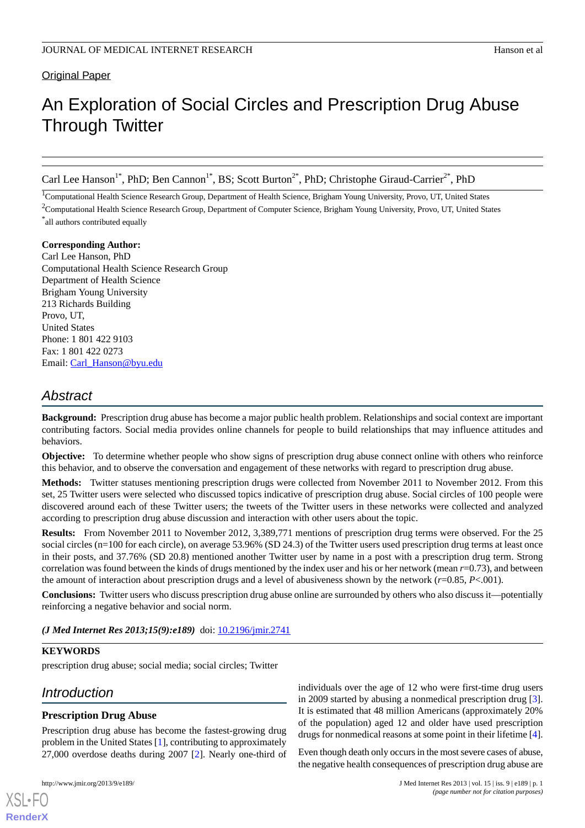Original Paper

# An Exploration of Social Circles and Prescription Drug Abuse Through Twitter

Carl Lee Hanson<sup>1\*</sup>, PhD; Ben Cannon<sup>1\*</sup>, BS; Scott Burton<sup>2\*</sup>, PhD; Christophe Giraud-Carrier<sup>2\*</sup>, PhD

<sup>1</sup>Computational Health Science Research Group, Department of Health Science, Brigham Young University, Provo, UT, United States

<sup>2</sup>Computational Health Science Research Group, Department of Computer Science, Brigham Young University, Provo, UT, United States

\* all authors contributed equally

### **Corresponding Author:**

Carl Lee Hanson, PhD Computational Health Science Research Group Department of Health Science Brigham Young University 213 Richards Building Provo, UT, United States Phone: 1 801 422 9103 Fax: 1 801 422 0273 Email: [Carl\\_Hanson@byu.edu](mailto:Carl_Hanson@byu.edu)

# *Abstract*

**Background:** Prescription drug abuse has become a major public health problem. Relationships and social context are important contributing factors. Social media provides online channels for people to build relationships that may influence attitudes and behaviors.

**Objective:** To determine whether people who show signs of prescription drug abuse connect online with others who reinforce this behavior, and to observe the conversation and engagement of these networks with regard to prescription drug abuse.

**Methods:** Twitter statuses mentioning prescription drugs were collected from November 2011 to November 2012. From this set, 25 Twitter users were selected who discussed topics indicative of prescription drug abuse. Social circles of 100 people were discovered around each of these Twitter users; the tweets of the Twitter users in these networks were collected and analyzed according to prescription drug abuse discussion and interaction with other users about the topic.

**Results:** From November 2011 to November 2012, 3,389,771 mentions of prescription drug terms were observed. For the 25 social circles (n=100 for each circle), on average 53.96% (SD 24.3) of the Twitter users used prescription drug terms at least once in their posts, and 37.76% (SD 20.8) mentioned another Twitter user by name in a post with a prescription drug term. Strong correlation was found between the kinds of drugs mentioned by the index user and his or her network (mean *r*=0.73), and between the amount of interaction about prescription drugs and a level of abusiveness shown by the network (*r*=0.85, *P*<.001).

**Conclusions:** Twitter users who discuss prescription drug abuse online are surrounded by others who also discuss it—potentially reinforcing a negative behavior and social norm.

*(J Med Internet Res 2013;15(9):e189)* doi: [10.2196/jmir.2741](http://dx.doi.org/10.2196/jmir.2741)

# **KEYWORDS**

prescription drug abuse; social media; social circles; Twitter

# *Introduction*

# **Prescription Drug Abuse**

Prescription drug abuse has become the fastest-growing drug problem in the United States [\[1\]](#page-9-0), contributing to approximately 27,000 overdose deaths during 2007 [\[2](#page-9-1)]. Nearly one-third of

[XSL](http://www.w3.org/Style/XSL)•FO **[RenderX](http://www.renderx.com/)**

individuals over the age of 12 who were first-time drug users in 2009 started by abusing a nonmedical prescription drug [[3\]](#page-9-2). It is estimated that 48 million Americans (approximately 20% of the population) aged 12 and older have used prescription drugs for nonmedical reasons at some point in their lifetime [\[4\]](#page-9-3).

Even though death only occurs in the most severe cases of abuse, the negative health consequences of prescription drug abuse are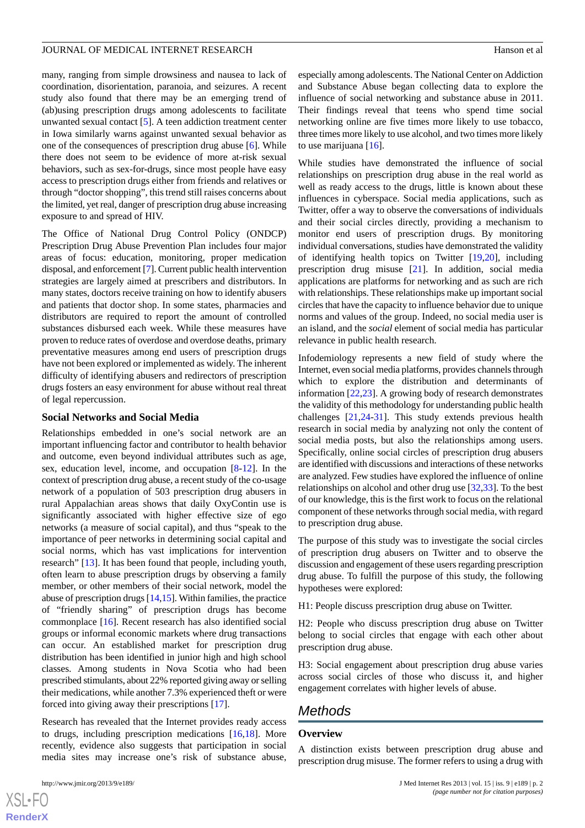many, ranging from simple drowsiness and nausea to lack of coordination, disorientation, paranoia, and seizures. A recent study also found that there may be an emerging trend of (ab)using prescription drugs among adolescents to facilitate unwanted sexual contact [[5\]](#page-9-4). A teen addiction treatment center in Iowa similarly warns against unwanted sexual behavior as one of the consequences of prescription drug abuse [[6\]](#page-9-5). While there does not seem to be evidence of more at-risk sexual behaviors, such as sex-for-drugs, since most people have easy access to prescription drugs either from friends and relatives or through "doctor shopping", this trend still raises concerns about the limited, yet real, danger of prescription drug abuse increasing exposure to and spread of HIV.

The Office of National Drug Control Policy (ONDCP) Prescription Drug Abuse Prevention Plan includes four major areas of focus: education, monitoring, proper medication disposal, and enforcement [[7\]](#page-9-6). Current public health intervention strategies are largely aimed at prescribers and distributors. In many states, doctors receive training on how to identify abusers and patients that doctor shop. In some states, pharmacies and distributors are required to report the amount of controlled substances disbursed each week. While these measures have proven to reduce rates of overdose and overdose deaths, primary preventative measures among end users of prescription drugs have not been explored or implemented as widely. The inherent difficulty of identifying abusers and redirectors of prescription drugs fosters an easy environment for abuse without real threat of legal repercussion.

### **Social Networks and Social Media**

Relationships embedded in one's social network are an important influencing factor and contributor to health behavior and outcome, even beyond individual attributes such as age, sex, education level, income, and occupation [\[8](#page-9-7)-[12\]](#page-9-8). In the context of prescription drug abuse, a recent study of the co-usage network of a population of 503 prescription drug abusers in rural Appalachian areas shows that daily OxyContin use is significantly associated with higher effective size of ego networks (a measure of social capital), and thus "speak to the importance of peer networks in determining social capital and social norms, which has vast implications for intervention research" [\[13](#page-9-9)]. It has been found that people, including youth, often learn to abuse prescription drugs by observing a family member, or other members of their social network, model the abuse of prescription drugs [\[14](#page-9-10),[15](#page-9-11)]. Within families, the practice of "friendly sharing" of prescription drugs has become commonplace [\[16](#page-9-12)]. Recent research has also identified social groups or informal economic markets where drug transactions can occur. An established market for prescription drug distribution has been identified in junior high and high school classes. Among students in Nova Scotia who had been prescribed stimulants, about 22% reported giving away or selling their medications, while another 7.3% experienced theft or were forced into giving away their prescriptions [\[17](#page-10-0)].

Research has revealed that the Internet provides ready access to drugs, including prescription medications [[16,](#page-9-12)[18](#page-10-1)]. More recently, evidence also suggests that participation in social media sites may increase one's risk of substance abuse,

 $XS$  $\cdot$ FC **[RenderX](http://www.renderx.com/)** especially among adolescents. The National Center on Addiction and Substance Abuse began collecting data to explore the influence of social networking and substance abuse in 2011. Their findings reveal that teens who spend time social networking online are five times more likely to use tobacco, three times more likely to use alcohol, and two times more likely to use marijuana [[16\]](#page-9-12).

While studies have demonstrated the influence of social relationships on prescription drug abuse in the real world as well as ready access to the drugs, little is known about these influences in cyberspace. Social media applications, such as Twitter, offer a way to observe the conversations of individuals and their social circles directly, providing a mechanism to monitor end users of prescription drugs. By monitoring individual conversations, studies have demonstrated the validity of identifying health topics on Twitter [[19](#page-10-2)[,20](#page-10-3)], including prescription drug misuse [\[21](#page-10-4)]. In addition, social media applications are platforms for networking and as such are rich with relationships. These relationships make up important social circles that have the capacity to influence behavior due to unique norms and values of the group. Indeed, no social media user is an island, and the *social* element of social media has particular relevance in public health research.

Infodemiology represents a new field of study where the Internet, even social media platforms, provides channels through which to explore the distribution and determinants of information [\[22](#page-10-5),[23\]](#page-10-6). A growing body of research demonstrates the validity of this methodology for understanding public health challenges [[21](#page-10-4)[,24](#page-10-7)-[31\]](#page-10-8). This study extends previous health research in social media by analyzing not only the content of social media posts, but also the relationships among users. Specifically, online social circles of prescription drug abusers are identified with discussions and interactions of these networks are analyzed. Few studies have explored the influence of online relationships on alcohol and other drug use [\[32](#page-10-9),[33\]](#page-10-10). To the best of our knowledge, this is the first work to focus on the relational component of these networks through social media, with regard to prescription drug abuse.

The purpose of this study was to investigate the social circles of prescription drug abusers on Twitter and to observe the discussion and engagement of these users regarding prescription drug abuse. To fulfill the purpose of this study, the following hypotheses were explored:

H1: People discuss prescription drug abuse on Twitter.

H2: People who discuss prescription drug abuse on Twitter belong to social circles that engage with each other about prescription drug abuse.

H3: Social engagement about prescription drug abuse varies across social circles of those who discuss it, and higher engagement correlates with higher levels of abuse.

# *Methods*

#### **Overview**

A distinction exists between prescription drug abuse and prescription drug misuse. The former refers to using a drug with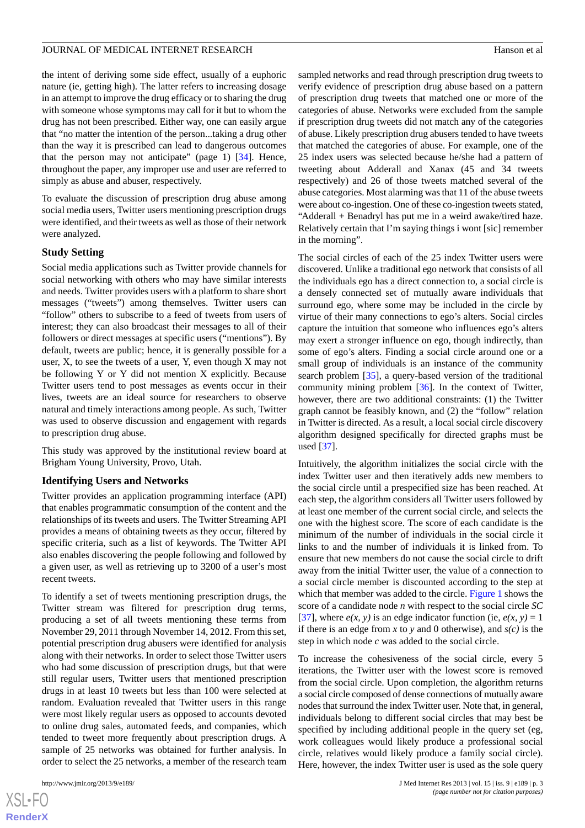the intent of deriving some side effect, usually of a euphoric nature (ie, getting high). The latter refers to increasing dosage in an attempt to improve the drug efficacy or to sharing the drug with someone whose symptoms may call for it but to whom the drug has not been prescribed. Either way, one can easily argue that "no matter the intention of the person...taking a drug other than the way it is prescribed can lead to dangerous outcomes that the person may not anticipate" (page 1) [[34\]](#page-10-11). Hence, throughout the paper, any improper use and user are referred to simply as abuse and abuser, respectively.

To evaluate the discussion of prescription drug abuse among social media users, Twitter users mentioning prescription drugs were identified, and their tweets as well as those of their network were analyzed.

### **Study Setting**

Social media applications such as Twitter provide channels for social networking with others who may have similar interests and needs. Twitter provides users with a platform to share short messages ("tweets") among themselves. Twitter users can "follow" others to subscribe to a feed of tweets from users of interest; they can also broadcast their messages to all of their followers or direct messages at specific users ("mentions"). By default, tweets are public; hence, it is generally possible for a user, X, to see the tweets of a user, Y, even though X may not be following Y or Y did not mention X explicitly. Because Twitter users tend to post messages as events occur in their lives, tweets are an ideal source for researchers to observe natural and timely interactions among people. As such, Twitter was used to observe discussion and engagement with regards to prescription drug abuse.

This study was approved by the institutional review board at Brigham Young University, Provo, Utah.

### **Identifying Users and Networks**

Twitter provides an application programming interface (API) that enables programmatic consumption of the content and the relationships of its tweets and users. The Twitter Streaming API provides a means of obtaining tweets as they occur, filtered by specific criteria, such as a list of keywords. The Twitter API also enables discovering the people following and followed by a given user, as well as retrieving up to 3200 of a user's most recent tweets.

To identify a set of tweets mentioning prescription drugs, the Twitter stream was filtered for prescription drug terms, producing a set of all tweets mentioning these terms from November 29, 2011 through November 14, 2012. From this set, potential prescription drug abusers were identified for analysis along with their networks. In order to select those Twitter users who had some discussion of prescription drugs, but that were still regular users, Twitter users that mentioned prescription drugs in at least 10 tweets but less than 100 were selected at random. Evaluation revealed that Twitter users in this range were most likely regular users as opposed to accounts devoted to online drug sales, automated feeds, and companies, which tended to tweet more frequently about prescription drugs. A sample of 25 networks was obtained for further analysis. In order to select the 25 networks, a member of the research team

sampled networks and read through prescription drug tweets to verify evidence of prescription drug abuse based on a pattern of prescription drug tweets that matched one or more of the categories of abuse. Networks were excluded from the sample if prescription drug tweets did not match any of the categories of abuse. Likely prescription drug abusers tended to have tweets that matched the categories of abuse. For example, one of the 25 index users was selected because he/she had a pattern of tweeting about Adderall and Xanax (45 and 34 tweets respectively) and 26 of those tweets matched several of the abuse categories. Most alarming was that 11 of the abuse tweets were about co-ingestion. One of these co-ingestion tweets stated, "Adderall + Benadryl has put me in a weird awake/tired haze. Relatively certain that I'm saying things i wont [sic] remember in the morning".

The social circles of each of the 25 index Twitter users were discovered. Unlike a traditional ego network that consists of all the individuals ego has a direct connection to, a social circle is a densely connected set of mutually aware individuals that surround ego, where some may be included in the circle by virtue of their many connections to ego's alters. Social circles capture the intuition that someone who influences ego's alters may exert a stronger influence on ego, though indirectly, than some of ego's alters. Finding a social circle around one or a small group of individuals is an instance of the community search problem [\[35](#page-10-12)], a query-based version of the traditional community mining problem [[36\]](#page-10-13). In the context of Twitter, however, there are two additional constraints: (1) the Twitter graph cannot be feasibly known, and (2) the "follow" relation in Twitter is directed. As a result, a local social circle discovery algorithm designed specifically for directed graphs must be used [[37\]](#page-10-14).

Intuitively, the algorithm initializes the social circle with the index Twitter user and then iteratively adds new members to the social circle until a prespecified size has been reached. At each step, the algorithm considers all Twitter users followed by at least one member of the current social circle, and selects the one with the highest score. The score of each candidate is the minimum of the number of individuals in the social circle it links to and the number of individuals it is linked from. To ensure that new members do not cause the social circle to drift away from the initial Twitter user, the value of a connection to a social circle member is discounted according to the step at which that member was added to the circle. [Figure 1](#page-3-0) shows the score of a candidate node *n* with respect to the social circle *SC* [[37\]](#page-10-14), where  $e(x, y)$  is an edge indicator function (ie,  $e(x, y) = 1$ ) if there is an edge from *x* to *y* and 0 otherwise), and *s(c)* is the step in which node *c* was added to the social circle.

To increase the cohesiveness of the social circle, every 5 iterations, the Twitter user with the lowest score is removed from the social circle. Upon completion, the algorithm returns a social circle composed of dense connections of mutually aware nodes that surround the index Twitter user. Note that, in general, individuals belong to different social circles that may best be specified by including additional people in the query set (eg, work colleagues would likely produce a professional social circle, relatives would likely produce a family social circle). Here, however, the index Twitter user is used as the sole query

 $XS$ -FO **[RenderX](http://www.renderx.com/)**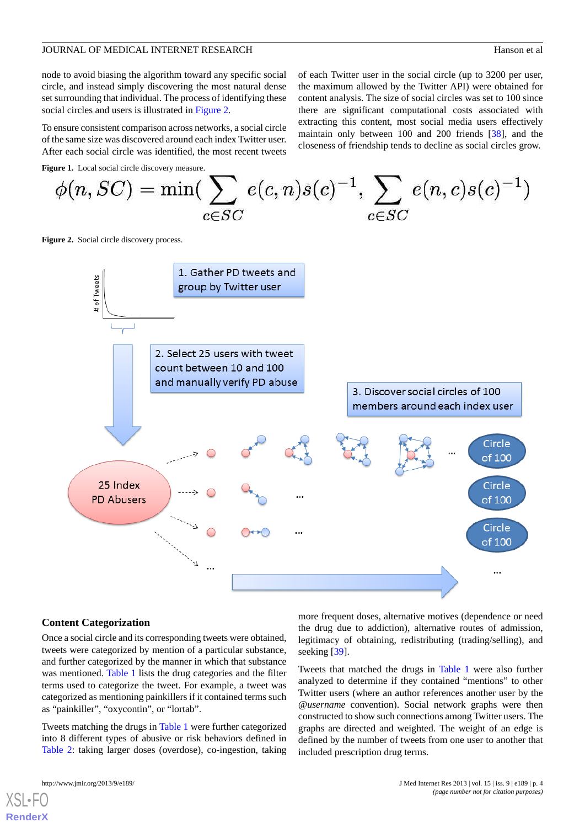node to avoid biasing the algorithm toward any specific social circle, and instead simply discovering the most natural dense set surrounding that individual. The process of identifying these social circles and users is illustrated in [Figure 2](#page-3-1).

To ensure consistent comparison across networks, a social circle of the same size was discovered around each index Twitter user. After each social circle was identified, the most recent tweets of each Twitter user in the social circle (up to 3200 per user, the maximum allowed by the Twitter API) were obtained for content analysis. The size of social circles was set to 100 since there are significant computational costs associated with extracting this content, most social media users effectively maintain only between 100 and 200 friends [\[38](#page-10-15)], and the closeness of friendship tends to decline as social circles grow.

<span id="page-3-0"></span>**Figure 1.** Local social circle discovery measure.

$$
\phi(n,SC) = \min(\sum_{c \in SC} e(c, n)s(c)^{-1}, \sum_{c \in SC} e(n, c)s(c)^{-1})
$$

<span id="page-3-1"></span>**Figure 2.** Social circle discovery process.



### **Content Categorization**

Once a social circle and its corresponding tweets were obtained, tweets were categorized by mention of a particular substance, and further categorized by the manner in which that substance was mentioned. [Table 1](#page-4-0) lists the drug categories and the filter terms used to categorize the tweet. For example, a tweet was categorized as mentioning painkillers if it contained terms such as "painkiller", "oxycontin", or "lortab".

Tweets matching the drugs in [Table 1](#page-4-0) were further categorized into 8 different types of abusive or risk behaviors defined in [Table 2](#page-4-1): taking larger doses (overdose), co-ingestion, taking

[XSL](http://www.w3.org/Style/XSL)•FO **[RenderX](http://www.renderx.com/)**

more frequent doses, alternative motives (dependence or need the drug due to addiction), alternative routes of admission, legitimacy of obtaining, redistributing (trading/selling), and seeking [\[39](#page-10-16)].

Tweets that matched the drugs in [Table 1](#page-4-0) were also further analyzed to determine if they contained "mentions" to other Twitter users (where an author references another user by the *@username* convention). Social network graphs were then constructed to show such connections among Twitter users. The graphs are directed and weighted. The weight of an edge is defined by the number of tweets from one user to another that included prescription drug terms.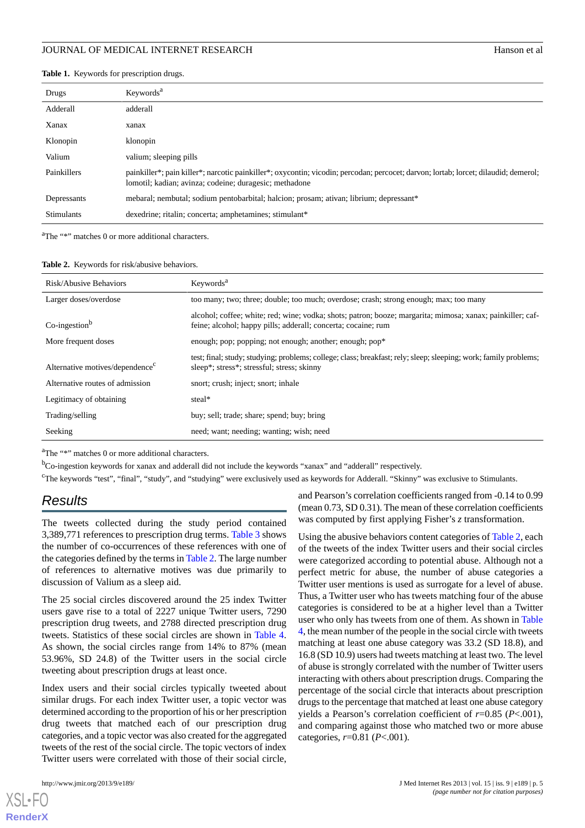<span id="page-4-0"></span>

|  |  |  | Table 1. Keywords for prescription drugs. |  |
|--|--|--|-------------------------------------------|--|
|--|--|--|-------------------------------------------|--|

| Drugs              | Keywords <sup>a</sup>                                                                                                                                                                         |
|--------------------|-----------------------------------------------------------------------------------------------------------------------------------------------------------------------------------------------|
| Adderall           | adderall                                                                                                                                                                                      |
| Xanax              | xanax                                                                                                                                                                                         |
| Klonopin           | klonopin                                                                                                                                                                                      |
| Valium             | valium; sleeping pills                                                                                                                                                                        |
| <b>Painkillers</b> | painkiller*; pain killer*; narcotic painkiller*; oxycontin; vicodin; percodan; percocet; darvon; lortab; lorcet; dilaudid; demerol;<br>lomotil; kadian; avinza; codeine; duragesic; methadone |
| Depressants        | mebaral; nembutal; sodium pentobarbital; halcion; prosam; ativan; librium; depressant*                                                                                                        |
| <b>Stimulants</b>  | dexedrine; ritalin; concerta; amphetamines; stimulant*                                                                                                                                        |

<span id="page-4-1"></span><sup>a</sup>The "\*" matches 0 or more additional characters.

#### **Table 2.** Keywords for risk/abusive behaviors.

| Risk/Abusive Behaviors                      | Keywords <sup>a</sup>                                                                                                                                                       |
|---------------------------------------------|-----------------------------------------------------------------------------------------------------------------------------------------------------------------------------|
| Larger doses/overdose                       | too many; two; three; double; too much; overdose; crash; strong enough; max; too many                                                                                       |
| $Co$ -ingestion <sup>b</sup>                | alcohol; coffee; white; red; wine; vodka; shots; patron; booze; margarita; mimosa; xanax; painkiller; caf-<br>feine; alcohol; happy pills; adderall; concerta; cocaine; rum |
| More frequent doses                         | enough; pop; popping; not enough; another; enough; pop*                                                                                                                     |
| Alternative motives/dependence <sup>c</sup> | test; final; study; studying; problems; college; class; breakfast; rely; sleep; sleeping; work; family problems;<br>sleep*; stress*; stressful; stress; skinny              |
| Alternative routes of admission             | snort; crush; inject; snort; inhale                                                                                                                                         |
| Legitimacy of obtaining                     | steal*                                                                                                                                                                      |
| Trading/selling                             | buy; sell; trade; share; spend; buy; bring                                                                                                                                  |
| Seeking                                     | need; want; needing; wanting; wish; need                                                                                                                                    |

<sup>a</sup>The "\*" matches 0 or more additional characters.

<sup>b</sup>Co-ingestion keywords for xanax and adderall did not include the keywords "xanax" and "adderall" respectively.

<sup>c</sup>The keywords "test", "final", "study", and "studying" were exclusively used as keywords for Adderall. "Skinny" was exclusive to Stimulants.

# *Results*

The tweets collected during the study period contained 3,389,771 references to prescription drug terms. [Table 3](#page-5-0) shows the number of co-occurrences of these references with one of the categories defined by the terms in [Table 2](#page-4-1). The large number of references to alternative motives was due primarily to discussion of Valium as a sleep aid.

The 25 social circles discovered around the 25 index Twitter users gave rise to a total of 2227 unique Twitter users, 7290 prescription drug tweets, and 2788 directed prescription drug tweets. Statistics of these social circles are shown in [Table 4](#page-6-0). As shown, the social circles range from 14% to 87% (mean 53.96%, SD 24.8) of the Twitter users in the social circle tweeting about prescription drugs at least once.

Index users and their social circles typically tweeted about similar drugs. For each index Twitter user, a topic vector was determined according to the proportion of his or her prescription drug tweets that matched each of our prescription drug categories, and a topic vector was also created for the aggregated tweets of the rest of the social circle. The topic vectors of index Twitter users were correlated with those of their social circle,

[XSL](http://www.w3.org/Style/XSL)•FO **[RenderX](http://www.renderx.com/)**

and Pearson's correlation coefficients ranged from -0.14 to 0.99 (mean 0.73, SD 0.31). The mean of these correlation coefficients was computed by first applying Fisher's *z* transformation.

Using the abusive behaviors content categories of [Table 2,](#page-4-1) each of the tweets of the index Twitter users and their social circles were categorized according to potential abuse. Although not a perfect metric for abuse, the number of abuse categories a Twitter user mentions is used as surrogate for a level of abuse. Thus, a Twitter user who has tweets matching four of the abuse categories is considered to be at a higher level than a Twitter user who only has tweets from one of them. As shown in [Table](#page-6-0) [4,](#page-6-0) the mean number of the people in the social circle with tweets matching at least one abuse category was 33.2 (SD 18.8), and 16.8 (SD 10.9) users had tweets matching at least two. The level of abuse is strongly correlated with the number of Twitter users interacting with others about prescription drugs. Comparing the percentage of the social circle that interacts about prescription drugs to the percentage that matched at least one abuse category yields a Pearson's correlation coefficient of *r*=0.85 (*P*<.001), and comparing against those who matched two or more abuse categories, *r*=0.81 (*P*<.001).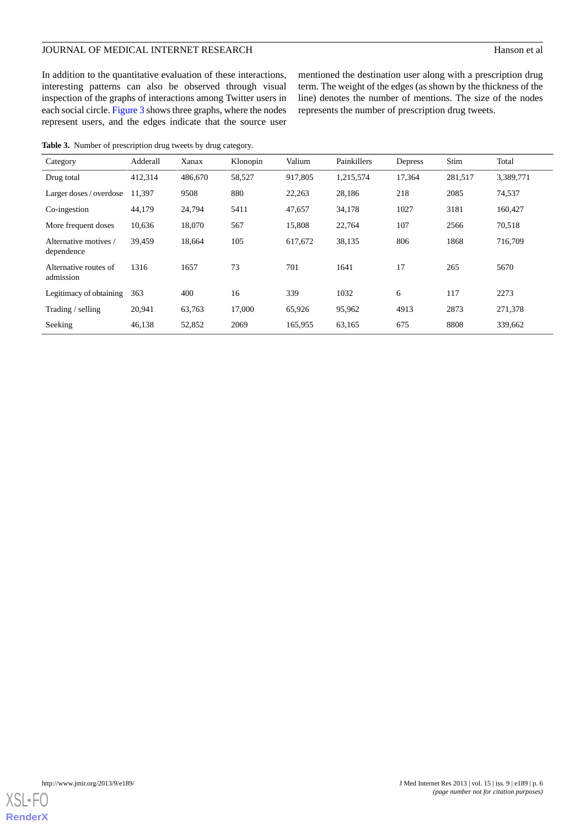# JOURNAL OF MEDICAL INTERNET RESEARCH Hanson et al.

mentioned the destination user along with a prescription drug term. The weight of the edges (as shown by the thickness of the line) denotes the number of mentions. The size of the nodes

represents the number of prescription drug tweets.

In addition to the quantitative evaluation of these interactions, interesting patterns can also be observed through visual inspection of the graphs of interactions among Twitter users in each social circle. [Figure 3](#page-7-0) shows three graphs, where the nodes represent users, and the edges indicate that the source user

<span id="page-5-0"></span>**Table 3.** Number of prescription drug tweets by drug category. Category Adderall Xanax Klonopin Valium Painkillers Depress Stim Total Drug total 412,314 486,670 58,527 917,805 1,215,574 17,364 281,517 3,389,771 Larger doses / overdose 11,397 9508 880 22,263 28,186 218 2085 74,537 Co-ingestion 44,179 24,794 5411 47,657 34,178 1027 3181 160,427 More frequent doses 10,636 18,070 567 15,808 22,764 107 2566 70,518 Alternative motives / 39,459 18,664 105 617,672 38,135 806 1868 716,709 dependence Alternative routes of 1316 1657 73 701 1641 17 265 5670 admission Legitimacy of obtaining 363 400 16 339 1032 6 117 2273 Trading / selling 20,941 63,763 17,000 65,926 95,962 4913 2873 271,378 Seeking 46,138 52,852 2069 165,955 63,165 675 8808 339,662

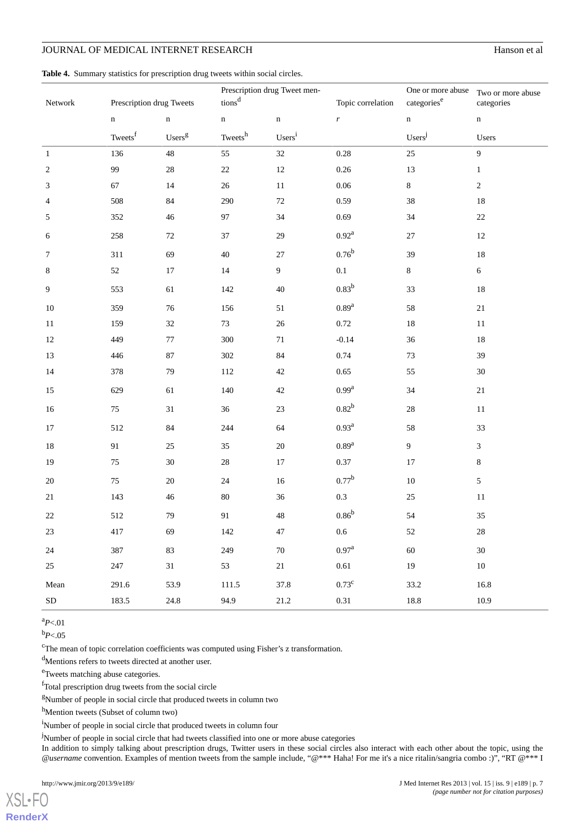# JOURNAL OF MEDICAL INTERNET RESEARCH

| Hanson et al |  |
|--------------|--|
|              |  |

<span id="page-6-0"></span>

|  |  |  |  | Table 4. Summary statistics for prescription drug tweets within social circles. |  |  |  |  |  |
|--|--|--|--|---------------------------------------------------------------------------------|--|--|--|--|--|
|--|--|--|--|---------------------------------------------------------------------------------|--|--|--|--|--|

|            |                          |                    | Prescription drug Tweet men- |                                 |                   | One or more abuse  | Two or more abuse |  |
|------------|--------------------------|--------------------|------------------------------|---------------------------------|-------------------|--------------------|-------------------|--|
| Network    | Prescription drug Tweets |                    | tions <sup>d</sup>           |                                 | Topic correlation | categories $^e$    | categories        |  |
|            | $\mathbf n$              | $\mathbf n$        | $\mathbf n$                  | $\mathbf n$<br>$\boldsymbol{r}$ |                   | $\mathbf n$        | $\mathbf n$       |  |
|            | Tweets <sup>f</sup>      | Users <sup>g</sup> | Tweets $^{\rm h}$            | Users <sup>i</sup>              |                   | Users <sup>j</sup> | Users             |  |
| $\,1\,$    | 136                      | $48\,$             | 55                           | $32\,$<br>$0.28\,$              |                   | 25                 | $\overline{9}$    |  |
| $\sqrt{2}$ | 99                       | $28\,$             | $22\,$                       | $12\,$                          | $0.26\,$          | 13                 | $\,1$             |  |
| 3          | 67                       | 14                 | $26\,$                       | $11\,$                          | $0.06\,$          | $\bf 8$            | $\sqrt{2}$        |  |
| 4          | 508                      | $84\,$             | 290                          | $72\,$                          | 0.59              | 38                 | $18\,$            |  |
| 5          | 352                      | 46                 | 97                           | $34\,$                          | 0.69              | 34                 | $22\,$            |  |
| 6          | 258                      | $72\,$             | $37\,$                       | 29                              | $0.92^{\rm a}$    | $27\,$             | $12\,$            |  |
| 7          | 311                      | 69                 | 40                           | 27                              | $0.76^{\rm b}$    | 39                 | $18\,$            |  |
| 8          | $52\,$                   | $17\,$             | $14\,$                       | $\boldsymbol{9}$                | $0.1\,$           |                    | $\sqrt{6}$        |  |
| 9          | 553                      | 61                 | 142                          | $40\,$                          | $0.83^{b}$        |                    | $18\,$            |  |
| 10         | 359                      | 76                 | 156                          | $0.89^{\rm a}$<br>51            |                   | 58                 | 21                |  |
| 11         | 159                      | 32                 | $73\,$                       | $26\,$<br>0.72                  |                   | 18                 | $11\,$            |  |
| 12         | 449                      | 77                 | 300                          | $71\,$                          | $-0.14$           | 36                 | $18\,$            |  |
| 13         | 446                      | $87\,$             | 302                          | $84\,$                          | 0.74              | 73                 | 39                |  |
| 14         | 378                      | 79                 | 112                          | $42\,$                          | 0.65              | 55                 | $30\,$            |  |
| 15         | 629                      | 61                 | 140                          | $42\,$                          | 0.99 <sup>a</sup> | 34                 | $21\,$            |  |
| 16         | $75\,$                   | $31\,$             | 36                           | $23\,$                          | $0.82^{b}$        | 28                 | $11\,$            |  |
| 17         | 512                      | $84\,$             | 244                          | 64                              | 0.93 <sup>a</sup> | 58                 | 33                |  |
| $18\,$     | 91                       | $25\,$             | 35                           | $20\,$                          | 0.89 <sup>a</sup> | $\overline{9}$     | $\mathfrak{Z}$    |  |
| 19         | 75                       | $30\,$             | $28\,$                       | $17\,$                          | 0.37              | $17\,$             | $\,8\,$           |  |
| 20         | $75\,$                   | $20\,$             | $24\,$                       | $0.77^{\rm b}$<br>$16\,$        |                   | $10\,$             | 5                 |  |
| $21\,$     | 143                      | $46\,$             | $80\,$                       | $0.3\,$<br>36                   |                   | $25\,$             | $11\,$            |  |
| $22\,$     | 512                      | 79                 | 91                           | $48\,$                          | $0.86^{\rm b}$    | 54                 | $35\,$            |  |
| $23\,$     | 417                      | 69                 | 142                          | 47                              | $0.6\,$           | 52                 | $28\,$            |  |
| 24         | 387                      | 83                 | 249                          | 70                              | $0.97^{a}$        | 60                 | 30                |  |
| 25         | 247                      | $31\,$             | 53                           | $21\,$                          | $0.61\,$          | 19                 | $10\,$            |  |
| Mean       | 291.6                    | 53.9               | 111.5                        | 37.8                            | $0.73^{\rm c}$    | 33.2               | 16.8              |  |
| ${\rm SD}$ | 183.5                    | $24.8\,$           | 94.9                         | $21.2\,$                        | $0.31\,$          | $18.8\,$           | 10.9              |  |

 $a_{P<.01}$ 

 $b_{P<.05}$ 

[XSL](http://www.w3.org/Style/XSL)•FO **[RenderX](http://www.renderx.com/)**

<sup>c</sup>The mean of topic correlation coefficients was computed using Fisher's z transformation.

<sup>d</sup>Mentions refers to tweets directed at another user.

<sup>e</sup>Tweets matching abuse categories.

<sup>f</sup>Total prescription drug tweets from the social circle

<sup>g</sup>Number of people in social circle that produced tweets in column two

h<sub>Mention</sub> tweets (Subset of column two)

<sup>i</sup>Number of people in social circle that produced tweets in column four

<sup>j</sup>Number of people in social circle that had tweets classified into one or more abuse categories

In addition to simply talking about prescription drugs, Twitter users in these social circles also interact with each other about the topic, using the *@username* convention. Examples of mention tweets from the sample include, "@\*\*\* Haha! For me it's a nice ritalin/sangria combo :)", "RT @\*\*\* I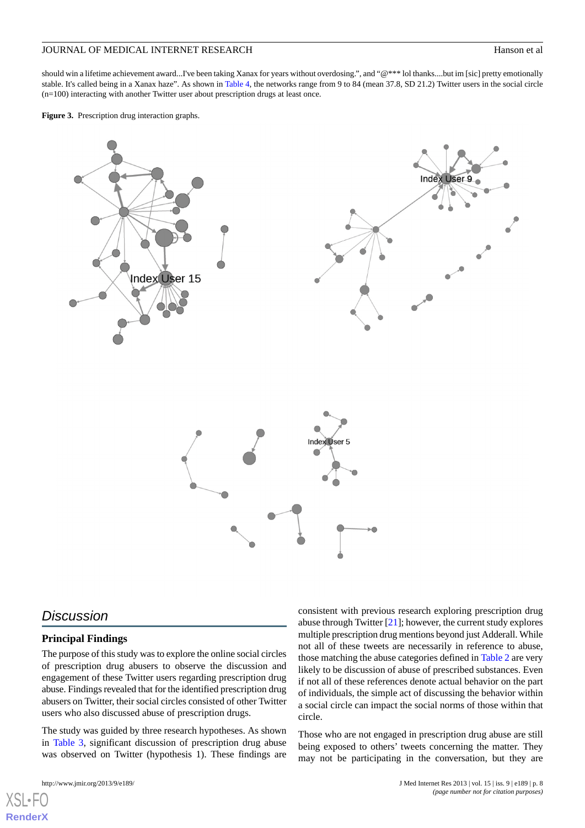should win a lifetime achievement award...I've been taking Xanax for years without overdosing.", and "@\*\*\* lol thanks....but im [sic] pretty emotionally stable. It's called being in a Xanax haze". As shown in [Table 4](#page-6-0), the networks range from 9 to 84 (mean 37.8, SD 21.2) Twitter users in the social circle (n=100) interacting with another Twitter user about prescription drugs at least once.

<span id="page-7-0"></span>**Figure 3.** Prescription drug interaction graphs.



# *Discussion*

### **Principal Findings**

The purpose of this study was to explore the online social circles of prescription drug abusers to observe the discussion and engagement of these Twitter users regarding prescription drug abuse. Findings revealed that for the identified prescription drug abusers on Twitter, their social circles consisted of other Twitter users who also discussed abuse of prescription drugs.

The study was guided by three research hypotheses. As shown in [Table 3](#page-5-0), significant discussion of prescription drug abuse was observed on Twitter (hypothesis 1). These findings are

[XSL](http://www.w3.org/Style/XSL)•FO **[RenderX](http://www.renderx.com/)**

consistent with previous research exploring prescription drug abuse through Twitter  $[21]$  $[21]$ ; however, the current study explores multiple prescription drug mentions beyond just Adderall. While not all of these tweets are necessarily in reference to abuse, those matching the abuse categories defined in [Table 2](#page-4-1) are very likely to be discussion of abuse of prescribed substances. Even if not all of these references denote actual behavior on the part of individuals, the simple act of discussing the behavior within a social circle can impact the social norms of those within that circle.

Those who are not engaged in prescription drug abuse are still being exposed to others' tweets concerning the matter. They may not be participating in the conversation, but they are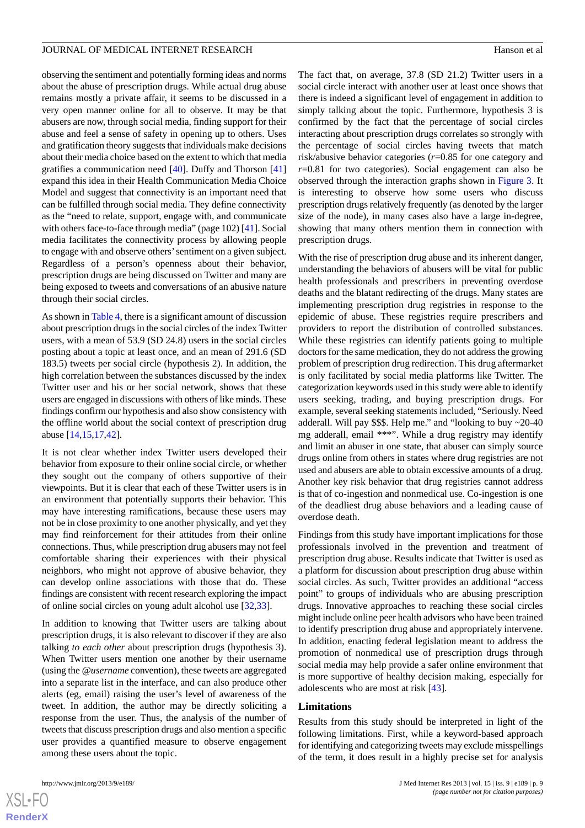observing the sentiment and potentially forming ideas and norms about the abuse of prescription drugs. While actual drug abuse remains mostly a private affair, it seems to be discussed in a very open manner online for all to observe. It may be that abusers are now, through social media, finding support for their abuse and feel a sense of safety in opening up to others. Uses and gratification theory suggests that individuals make decisions about their media choice based on the extent to which that media gratifies a communication need [[40\]](#page-10-17). Duffy and Thorson [\[41](#page-10-18)] expand this idea in their Health Communication Media Choice Model and suggest that connectivity is an important need that can be fulfilled through social media. They define connectivity as the "need to relate, support, engage with, and communicate with others face-to-face through media" (page 102) [[41\]](#page-10-18). Social media facilitates the connectivity process by allowing people to engage with and observe others'sentiment on a given subject. Regardless of a person's openness about their behavior, prescription drugs are being discussed on Twitter and many are being exposed to tweets and conversations of an abusive nature through their social circles.

As shown in [Table 4](#page-6-0), there is a significant amount of discussion about prescription drugs in the social circles of the index Twitter users, with a mean of 53.9 (SD 24.8) users in the social circles posting about a topic at least once, and an mean of 291.6 (SD 183.5) tweets per social circle (hypothesis 2). In addition, the high correlation between the substances discussed by the index Twitter user and his or her social network, shows that these users are engaged in discussions with others of like minds. These findings confirm our hypothesis and also show consistency with the offline world about the social context of prescription drug abuse [[14](#page-9-10)[,15](#page-9-11),[17](#page-10-0)[,42](#page-11-0)].

It is not clear whether index Twitter users developed their behavior from exposure to their online social circle, or whether they sought out the company of others supportive of their viewpoints. But it is clear that each of these Twitter users is in an environment that potentially supports their behavior. This may have interesting ramifications, because these users may not be in close proximity to one another physically, and yet they may find reinforcement for their attitudes from their online connections. Thus, while prescription drug abusers may not feel comfortable sharing their experiences with their physical neighbors, who might not approve of abusive behavior, they can develop online associations with those that do. These findings are consistent with recent research exploring the impact of online social circles on young adult alcohol use [[32](#page-10-9)[,33](#page-10-10)].

In addition to knowing that Twitter users are talking about prescription drugs, it is also relevant to discover if they are also talking *to each other* about prescription drugs (hypothesis 3). When Twitter users mention one another by their username (using the *@username* convention), these tweets are aggregated into a separate list in the interface, and can also produce other alerts (eg, email) raising the user's level of awareness of the tweet. In addition, the author may be directly soliciting a response from the user. Thus, the analysis of the number of tweets that discuss prescription drugs and also mention a specific user provides a quantified measure to observe engagement among these users about the topic.

 $XS$ -FO **[RenderX](http://www.renderx.com/)** The fact that, on average, 37.8 (SD 21.2) Twitter users in a social circle interact with another user at least once shows that there is indeed a significant level of engagement in addition to simply talking about the topic. Furthermore, hypothesis 3 is confirmed by the fact that the percentage of social circles interacting about prescription drugs correlates so strongly with the percentage of social circles having tweets that match risk/abusive behavior categories (*r*=0.85 for one category and *r*=0.81 for two categories). Social engagement can also be observed through the interaction graphs shown in [Figure 3](#page-7-0). It is interesting to observe how some users who discuss prescription drugs relatively frequently (as denoted by the larger size of the node), in many cases also have a large in-degree, showing that many others mention them in connection with prescription drugs.

With the rise of prescription drug abuse and its inherent danger, understanding the behaviors of abusers will be vital for public health professionals and prescribers in preventing overdose deaths and the blatant redirecting of the drugs. Many states are implementing prescription drug registries in response to the epidemic of abuse. These registries require prescribers and providers to report the distribution of controlled substances. While these registries can identify patients going to multiple doctors for the same medication, they do not address the growing problem of prescription drug redirection. This drug aftermarket is only facilitated by social media platforms like Twitter. The categorization keywords used in this study were able to identify users seeking, trading, and buying prescription drugs. For example, several seeking statements included, "Seriously. Need adderall. Will pay \$\$\$. Help me." and "looking to buy ~20-40 mg adderall, email \*\*\*". While a drug registry may identify and limit an abuser in one state, that abuser can simply source drugs online from others in states where drug registries are not used and abusers are able to obtain excessive amounts of a drug. Another key risk behavior that drug registries cannot address is that of co-ingestion and nonmedical use. Co-ingestion is one of the deadliest drug abuse behaviors and a leading cause of overdose death.

Findings from this study have important implications for those professionals involved in the prevention and treatment of prescription drug abuse. Results indicate that Twitter is used as a platform for discussion about prescription drug abuse within social circles. As such, Twitter provides an additional "access point" to groups of individuals who are abusing prescription drugs. Innovative approaches to reaching these social circles might include online peer health advisors who have been trained to identify prescription drug abuse and appropriately intervene. In addition, enacting federal legislation meant to address the promotion of nonmedical use of prescription drugs through social media may help provide a safer online environment that is more supportive of healthy decision making, especially for adolescents who are most at risk [\[43](#page-11-1)].

### **Limitations**

Results from this study should be interpreted in light of the following limitations. First, while a keyword-based approach for identifying and categorizing tweets may exclude misspellings of the term, it does result in a highly precise set for analysis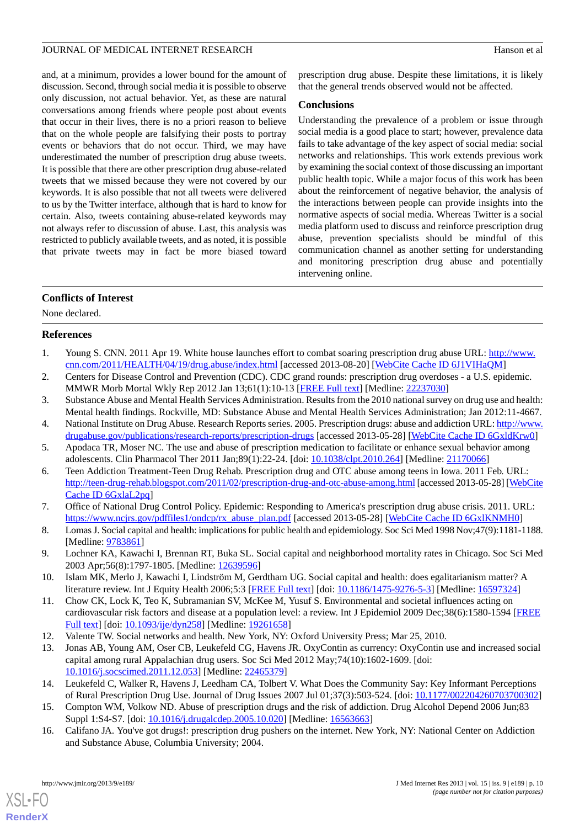and, at a minimum, provides a lower bound for the amount of discussion. Second, through social media it is possible to observe only discussion, not actual behavior. Yet, as these are natural conversations among friends where people post about events that occur in their lives, there is no a priori reason to believe that on the whole people are falsifying their posts to portray events or behaviors that do not occur. Third, we may have underestimated the number of prescription drug abuse tweets. It is possible that there are other prescription drug abuse-related tweets that we missed because they were not covered by our keywords. It is also possible that not all tweets were delivered to us by the Twitter interface, although that is hard to know for certain. Also, tweets containing abuse-related keywords may not always refer to discussion of abuse. Last, this analysis was restricted to publicly available tweets, and as noted, it is possible that private tweets may in fact be more biased toward

prescription drug abuse. Despite these limitations, it is likely that the general trends observed would not be affected.

### **Conclusions**

Understanding the prevalence of a problem or issue through social media is a good place to start; however, prevalence data fails to take advantage of the key aspect of social media: social networks and relationships. This work extends previous work by examining the social context of those discussing an important public health topic. While a major focus of this work has been about the reinforcement of negative behavior, the analysis of the interactions between people can provide insights into the normative aspects of social media. Whereas Twitter is a social media platform used to discuss and reinforce prescription drug abuse, prevention specialists should be mindful of this communication channel as another setting for understanding and monitoring prescription drug abuse and potentially intervening online.

# **Conflicts of Interest**

<span id="page-9-0"></span>None declared.

# <span id="page-9-1"></span>**References**

- <span id="page-9-2"></span>1. Young S. CNN. 2011 Apr 19. White house launches effort to combat soaring prescription drug abuse URL: [http://www.](http://www.cnn.com/2011/HEALTH/04/19/drug.abuse/index.html) [cnn.com/2011/HEALTH/04/19/drug.abuse/index.html](http://www.cnn.com/2011/HEALTH/04/19/drug.abuse/index.html) [accessed 2013-08-20] [[WebCite Cache ID 6J1VIHaQM\]](http://www.webcitation.org/

                                    6J1VIHaQM)
- <span id="page-9-3"></span>2. Centers for Disease Control and Prevention (CDC). CDC grand rounds: prescription drug overdoses - a U.S. epidemic. MMWR Morb Mortal Wkly Rep 2012 Jan 13;61(1):10-13 [\[FREE Full text\]](http://www.cdc.gov/mmwr/preview/mmwrhtml/mm6101a3.htm) [Medline: [22237030\]](http://www.ncbi.nlm.nih.gov/entrez/query.fcgi?cmd=Retrieve&db=PubMed&list_uids=22237030&dopt=Abstract)
- <span id="page-9-4"></span>3. Substance Abuse and Mental Health Services Administration. Results from the 2010 national survey on drug use and health: Mental health findings. Rockville, MD: Substance Abuse and Mental Health Services Administration; Jan 2012:11-4667.
- <span id="page-9-5"></span>4. National Institute on Drug Abuse. Research Reports series. 2005. Prescription drugs: abuse and addiction URL: [http://www.](http://www.drugabuse.gov/publications/research-reports/prescription-drugs) [drugabuse.gov/publications/research-reports/prescription-drugs](http://www.drugabuse.gov/publications/research-reports/prescription-drugs) [accessed 2013-05-28] [[WebCite Cache ID 6GxldKrw0](http://www.webcitation.org/

                                    6GxldKrw0)]
- <span id="page-9-6"></span>5. Apodaca TR, Moser NC. The use and abuse of prescription medication to facilitate or enhance sexual behavior among adolescents. Clin Pharmacol Ther 2011 Jan;89(1):22-24. [doi: [10.1038/clpt.2010.264](http://dx.doi.org/10.1038/clpt.2010.264)] [Medline: [21170066\]](http://www.ncbi.nlm.nih.gov/entrez/query.fcgi?cmd=Retrieve&db=PubMed&list_uids=21170066&dopt=Abstract)
- <span id="page-9-7"></span>6. Teen Addiction Treatment-Teen Drug Rehab. Prescription drug and OTC abuse among teens in Iowa. 2011 Feb. URL: <http://teen-drug-rehab.blogspot.com/2011/02/prescription-drug-and-otc-abuse-among.html> [accessed 2013-05-28] [[WebCite](http://www.webcitation.org/

                                    6GxlaL2pq) [Cache ID 6GxlaL2pq\]](http://www.webcitation.org/

                                    6GxlaL2pq)
- 7. Office of National Drug Control Policy. Epidemic: Responding to America's prescription drug abuse crisis. 2011. URL: [https://www.ncjrs.gov/pdffiles1/ondcp/rx\\_abuse\\_plan.pdf](https://www.ncjrs.gov/pdffiles1/ondcp/rx_abuse_plan.pdf) [accessed 2013-05-28] [[WebCite Cache ID 6GxlKNMH0\]](http://www.webcitation.org/

                                    6GxlKNMH0)
- 8. Lomas J. Social capital and health: implications for public health and epidemiology. Soc Sci Med 1998 Nov;47(9):1181-1188. [Medline: [9783861\]](http://www.ncbi.nlm.nih.gov/entrez/query.fcgi?cmd=Retrieve&db=PubMed&list_uids=9783861&dopt=Abstract)
- 9. Lochner KA, Kawachi I, Brennan RT, Buka SL. Social capital and neighborhood mortality rates in Chicago. Soc Sci Med 2003 Apr;56(8):1797-1805. [Medline: [12639596](http://www.ncbi.nlm.nih.gov/entrez/query.fcgi?cmd=Retrieve&db=PubMed&list_uids=12639596&dopt=Abstract)]
- <span id="page-9-9"></span><span id="page-9-8"></span>10. Islam MK, Merlo J, Kawachi I, Lindström M, Gerdtham UG. Social capital and health: does egalitarianism matter? A literature review. Int J Equity Health 2006;5:3 [[FREE Full text](http://www.equityhealthj.com/content/5//3)] [doi: [10.1186/1475-9276-5-3\]](http://dx.doi.org/10.1186/1475-9276-5-3) [Medline: [16597324\]](http://www.ncbi.nlm.nih.gov/entrez/query.fcgi?cmd=Retrieve&db=PubMed&list_uids=16597324&dopt=Abstract)
- <span id="page-9-10"></span>11. Chow CK, Lock K, Teo K, Subramanian SV, McKee M, Yusuf S. Environmental and societal influences acting on cardiovascular risk factors and disease at a population level: a review. Int J Epidemiol 2009 Dec;38(6):1580-1594 [[FREE](http://ije.oxfordjournals.org/cgi/pmidlookup?view=long&pmid=19261658) [Full text\]](http://ije.oxfordjournals.org/cgi/pmidlookup?view=long&pmid=19261658) [doi: [10.1093/ije/dyn258](http://dx.doi.org/10.1093/ije/dyn258)] [Medline: [19261658](http://www.ncbi.nlm.nih.gov/entrez/query.fcgi?cmd=Retrieve&db=PubMed&list_uids=19261658&dopt=Abstract)]
- <span id="page-9-11"></span>12. Valente TW. Social networks and health. New York, NY: Oxford University Press; Mar 25, 2010.
- <span id="page-9-12"></span>13. Jonas AB, Young AM, Oser CB, Leukefeld CG, Havens JR. OxyContin as currency: OxyContin use and increased social capital among rural Appalachian drug users. Soc Sci Med 2012 May;74(10):1602-1609. [doi: [10.1016/j.socscimed.2011.12.053](http://dx.doi.org/10.1016/j.socscimed.2011.12.053)] [Medline: [22465379](http://www.ncbi.nlm.nih.gov/entrez/query.fcgi?cmd=Retrieve&db=PubMed&list_uids=22465379&dopt=Abstract)]
- 14. Leukefeld C, Walker R, Havens J, Leedham CA, Tolbert V. What Does the Community Say: Key Informant Perceptions of Rural Prescription Drug Use. Journal of Drug Issues 2007 Jul 01;37(3):503-524. [doi: [10.1177/002204260703700302](http://dx.doi.org/10.1177/002204260703700302)]
- 15. Compton WM, Volkow ND. Abuse of prescription drugs and the risk of addiction. Drug Alcohol Depend 2006 Jun;83 Suppl 1:S4-S7. [doi: [10.1016/j.drugalcdep.2005.10.020](http://dx.doi.org/10.1016/j.drugalcdep.2005.10.020)] [Medline: [16563663](http://www.ncbi.nlm.nih.gov/entrez/query.fcgi?cmd=Retrieve&db=PubMed&list_uids=16563663&dopt=Abstract)]
- 16. Califano JA. You've got drugs!: prescription drug pushers on the internet. New York, NY: National Center on Addiction and Substance Abuse, Columbia University; 2004.

[XSL](http://www.w3.org/Style/XSL)•FO **[RenderX](http://www.renderx.com/)**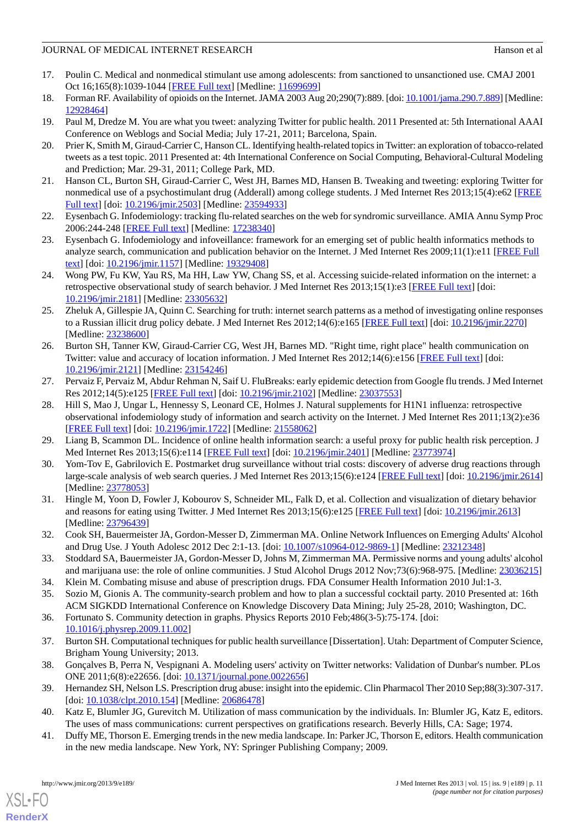# JOURNAL OF MEDICAL INTERNET RESEARCH Hanson et al.

- <span id="page-10-0"></span>17. Poulin C. Medical and nonmedical stimulant use among adolescents: from sanctioned to unsanctioned use. CMAJ 2001 Oct 16;165(8):1039-1044 [[FREE Full text](http://www.cmaj.ca/cgi/pmidlookup?view=long&pmid=11699699)] [Medline: [11699699](http://www.ncbi.nlm.nih.gov/entrez/query.fcgi?cmd=Retrieve&db=PubMed&list_uids=11699699&dopt=Abstract)]
- <span id="page-10-2"></span><span id="page-10-1"></span>18. Forman RF. Availability of opioids on the Internet. JAMA 2003 Aug 20;290(7):889. [doi: [10.1001/jama.290.7.889\]](http://dx.doi.org/10.1001/jama.290.7.889) [Medline: [12928464](http://www.ncbi.nlm.nih.gov/entrez/query.fcgi?cmd=Retrieve&db=PubMed&list_uids=12928464&dopt=Abstract)]
- <span id="page-10-3"></span>19. Paul M, Dredze M. You are what you tweet: analyzing Twitter for public health. 2011 Presented at: 5th International AAAI Conference on Weblogs and Social Media; July 17-21, 2011; Barcelona, Spain.
- <span id="page-10-4"></span>20. Prier K, Smith M, Giraud-Carrier C, Hanson CL. Identifying health-related topics in Twitter: an exploration of tobacco-related tweets as a test topic. 2011 Presented at: 4th International Conference on Social Computing, Behavioral-Cultural Modeling and Prediction; Mar. 29-31, 2011; College Park, MD.
- <span id="page-10-5"></span>21. Hanson CL, Burton SH, Giraud-Carrier C, West JH, Barnes MD, Hansen B. Tweaking and tweeting: exploring Twitter for nonmedical use of a psychostimulant drug (Adderall) among college students. J Med Internet Res 2013;15(4):e62 [[FREE](http://www.jmir.org/2013/4/e62/) [Full text\]](http://www.jmir.org/2013/4/e62/) [doi: [10.2196/jmir.2503](http://dx.doi.org/10.2196/jmir.2503)] [Medline: [23594933\]](http://www.ncbi.nlm.nih.gov/entrez/query.fcgi?cmd=Retrieve&db=PubMed&list_uids=23594933&dopt=Abstract)
- <span id="page-10-6"></span>22. Eysenbach G. Infodemiology: tracking flu-related searches on the web for syndromic surveillance. AMIA Annu Symp Proc 2006:244-248 [\[FREE Full text\]](http://europepmc.org/abstract/MED/17238340) [Medline: [17238340\]](http://www.ncbi.nlm.nih.gov/entrez/query.fcgi?cmd=Retrieve&db=PubMed&list_uids=17238340&dopt=Abstract)
- <span id="page-10-7"></span>23. Eysenbach G. Infodemiology and infoveillance: framework for an emerging set of public health informatics methods to analyze search, communication and publication behavior on the Internet. J Med Internet Res 2009;11(1):e11 [[FREE Full](http://www.jmir.org/2009/1/e11/) [text](http://www.jmir.org/2009/1/e11/)] [doi: [10.2196/jmir.1157](http://dx.doi.org/10.2196/jmir.1157)] [Medline: [19329408](http://www.ncbi.nlm.nih.gov/entrez/query.fcgi?cmd=Retrieve&db=PubMed&list_uids=19329408&dopt=Abstract)]
- 24. Wong PW, Fu KW, Yau RS, Ma HH, Law YW, Chang SS, et al. Accessing suicide-related information on the internet: a retrospective observational study of search behavior. J Med Internet Res 2013;15(1):e3 [[FREE Full text\]](http://www.jmir.org/2013/1/e3/) [doi: [10.2196/jmir.2181](http://dx.doi.org/10.2196/jmir.2181)] [Medline: [23305632](http://www.ncbi.nlm.nih.gov/entrez/query.fcgi?cmd=Retrieve&db=PubMed&list_uids=23305632&dopt=Abstract)]
- 25. Zheluk A, Gillespie JA, Quinn C. Searching for truth: internet search patterns as a method of investigating online responses to a Russian illicit drug policy debate. J Med Internet Res 2012;14(6):e165 [[FREE Full text](http://www.jmir.org/2012/6/e165/)] [doi: [10.2196/jmir.2270](http://dx.doi.org/10.2196/jmir.2270)] [Medline: [23238600](http://www.ncbi.nlm.nih.gov/entrez/query.fcgi?cmd=Retrieve&db=PubMed&list_uids=23238600&dopt=Abstract)]
- 26. Burton SH, Tanner KW, Giraud-Carrier CG, West JH, Barnes MD. "Right time, right place" health communication on Twitter: value and accuracy of location information. J Med Internet Res 2012;14(6):e156 [[FREE Full text](http://www.jmir.org/2012/6/e156/)] [doi: [10.2196/jmir.2121](http://dx.doi.org/10.2196/jmir.2121)] [Medline: [23154246](http://www.ncbi.nlm.nih.gov/entrez/query.fcgi?cmd=Retrieve&db=PubMed&list_uids=23154246&dopt=Abstract)]
- 27. Pervaiz F, Pervaiz M, Abdur Rehman N, Saif U. FluBreaks: early epidemic detection from Google flu trends. J Med Internet Res 2012;14(5):e125 [\[FREE Full text\]](http://www.jmir.org/2012/5/e125/) [doi: [10.2196/jmir.2102](http://dx.doi.org/10.2196/jmir.2102)] [Medline: [23037553\]](http://www.ncbi.nlm.nih.gov/entrez/query.fcgi?cmd=Retrieve&db=PubMed&list_uids=23037553&dopt=Abstract)
- 28. Hill S, Mao J, Ungar L, Hennessy S, Leonard CE, Holmes J. Natural supplements for H1N1 influenza: retrospective observational infodemiology study of information and search activity on the Internet. J Med Internet Res 2011;13(2):e36 [[FREE Full text](http://www.jmir.org/2011/2/e36/)] [doi: [10.2196/jmir.1722](http://dx.doi.org/10.2196/jmir.1722)] [Medline: [21558062](http://www.ncbi.nlm.nih.gov/entrez/query.fcgi?cmd=Retrieve&db=PubMed&list_uids=21558062&dopt=Abstract)]
- <span id="page-10-8"></span>29. Liang B, Scammon DL. Incidence of online health information search: a useful proxy for public health risk perception. J Med Internet Res 2013;15(6):e114 [[FREE Full text](http://www.jmir.org/2013/6/e114/)] [doi: [10.2196/jmir.2401](http://dx.doi.org/10.2196/jmir.2401)] [Medline: [23773974](http://www.ncbi.nlm.nih.gov/entrez/query.fcgi?cmd=Retrieve&db=PubMed&list_uids=23773974&dopt=Abstract)]
- <span id="page-10-9"></span>30. Yom-Tov E, Gabrilovich E. Postmarket drug surveillance without trial costs: discovery of adverse drug reactions through large-scale analysis of web search queries. J Med Internet Res 2013;15(6):e124 [\[FREE Full text](http://www.jmir.org/2013/6/e124/)] [doi: [10.2196/jmir.2614](http://dx.doi.org/10.2196/jmir.2614)] [Medline: [23778053](http://www.ncbi.nlm.nih.gov/entrez/query.fcgi?cmd=Retrieve&db=PubMed&list_uids=23778053&dopt=Abstract)]
- <span id="page-10-10"></span>31. Hingle M, Yoon D, Fowler J, Kobourov S, Schneider ML, Falk D, et al. Collection and visualization of dietary behavior and reasons for eating using Twitter. J Med Internet Res 2013;15(6):e125 [\[FREE Full text\]](http://www.jmir.org/2013/6/e125/) [doi: [10.2196/jmir.2613\]](http://dx.doi.org/10.2196/jmir.2613) [Medline: [23796439](http://www.ncbi.nlm.nih.gov/entrez/query.fcgi?cmd=Retrieve&db=PubMed&list_uids=23796439&dopt=Abstract)]
- <span id="page-10-12"></span><span id="page-10-11"></span>32. Cook SH, Bauermeister JA, Gordon-Messer D, Zimmerman MA. Online Network Influences on Emerging Adults' Alcohol and Drug Use. J Youth Adolesc 2012 Dec 2:1-13. [doi: [10.1007/s10964-012-9869-1\]](http://dx.doi.org/10.1007/s10964-012-9869-1) [Medline: [23212348\]](http://www.ncbi.nlm.nih.gov/entrez/query.fcgi?cmd=Retrieve&db=PubMed&list_uids=23212348&dopt=Abstract)
- <span id="page-10-13"></span>33. Stoddard SA, Bauermeister JA, Gordon-Messer D, Johns M, Zimmerman MA. Permissive norms and young adults' alcohol and marijuana use: the role of online communities. J Stud Alcohol Drugs 2012 Nov;73(6):968-975. [Medline: [23036215](http://www.ncbi.nlm.nih.gov/entrez/query.fcgi?cmd=Retrieve&db=PubMed&list_uids=23036215&dopt=Abstract)]
- <span id="page-10-14"></span>34. Klein M. Combating misuse and abuse of prescription drugs. FDA Consumer Health Information 2010 Jul:1-3.
- <span id="page-10-15"></span>35. Sozio M, Gionis A. The community-search problem and how to plan a successful cocktail party. 2010 Presented at: 16th ACM SIGKDD International Conference on Knowledge Discovery Data Mining; July 25-28, 2010; Washington, DC.
- <span id="page-10-16"></span>36. Fortunato S. Community detection in graphs. Physics Reports 2010 Feb;486(3-5):75-174. [doi: [10.1016/j.physrep.2009.11.002](http://dx.doi.org/10.1016/j.physrep.2009.11.002)]
- <span id="page-10-17"></span>37. Burton SH. Computational techniques for public health surveillance [Dissertation]. Utah: Department of Computer Science, Brigham Young University; 2013.
- <span id="page-10-18"></span>38. Gonçalves B, Perra N, Vespignani A. Modeling users' activity on Twitter networks: Validation of Dunbar's number. PLos ONE 2011;6(8):e22656. [doi: [10.1371/journal.pone.0022656\]](http://dx.doi.org/10.1371/journal.pone.0022656)
- 39. Hernandez SH, Nelson LS. Prescription drug abuse: insight into the epidemic. Clin Pharmacol Ther 2010 Sep;88(3):307-317. [doi: [10.1038/clpt.2010.154](http://dx.doi.org/10.1038/clpt.2010.154)] [Medline: [20686478\]](http://www.ncbi.nlm.nih.gov/entrez/query.fcgi?cmd=Retrieve&db=PubMed&list_uids=20686478&dopt=Abstract)
- 40. Katz E, Blumler JG, Gurevitch M. Utilization of mass communication by the individuals. In: Blumler JG, Katz E, editors. The uses of mass communications: current perspectives on gratifications research. Beverly Hills, CA: Sage; 1974.
- 41. Duffy ME, Thorson E. Emerging trends in the new media landscape. In: Parker JC, Thorson E, editors. Health communication in the new media landscape. New York, NY: Springer Publishing Company; 2009.

[XSL](http://www.w3.org/Style/XSL)•FO **[RenderX](http://www.renderx.com/)**